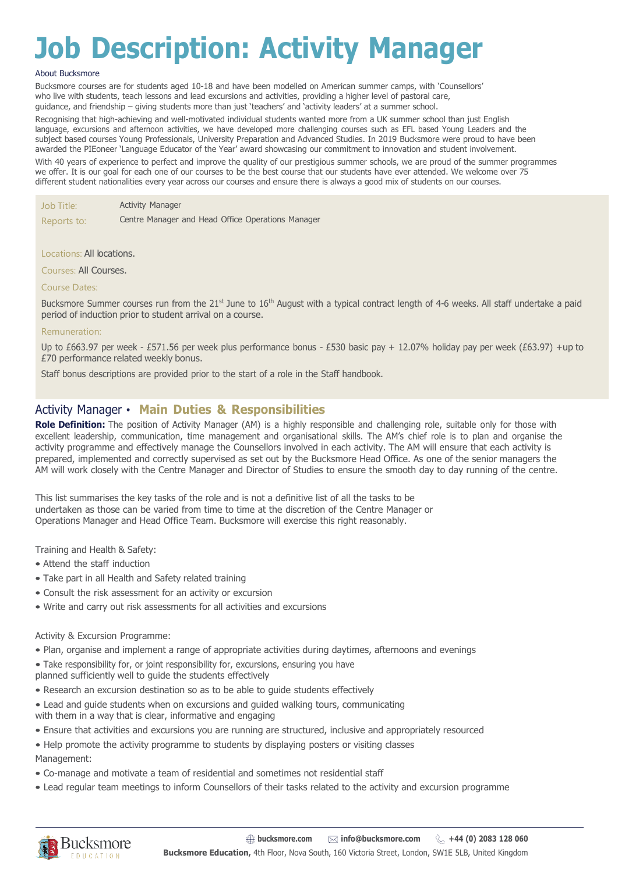# **Job Description: Activity Manager**

#### About Bucksmore

Bucksmore courses are for students aged 10-18 and have been modelled on American summer camps, with 'Counsellors' who live with students, teach lessons and lead excursions and activities, providing a higher level of pastoral care, guidance, and friendship – giving students more than just 'teachers' and 'activity leaders' at a summer school.

Recognising that high-achieving and well-motivated individual students wanted more from a UK summer school than just English language, excursions and afternoon activities, we have developed more challenging courses such as EFL based Young Leaders and the subject based courses Young Professionals, University Preparation and Advanced Studies. In 2019 Bucksmore were proud to have been awarded the PIEoneer 'Language Educator of the Year' award showcasing our commitment to innovation and student involvement.

With 40 years of experience to perfect and improve the quality of our prestigious summer schools, we are proud of the summer programmes we offer. It is our goal for each one of our courses to be the best course that our students have ever attended. We welcome over 75 different student nationalities every year across our courses and ensure there is always a good mix of students on our courses.

Job Title: Activity Manager

Reports to: Centre Manager and Head Office Operations Manager

#### Locations: All locations.

Courses: All Courses.

#### Course Dates:

Bucksmore Summer courses run from the 21st June to 16th August with a typical contract length of 4-6 weeks. All staff undertake a paid period of induction prior to student arrival on a course.

#### Remuneration:

Up to £663.97 per week - £571.56 per week plus performance bonus - £530 basic pay + 12.07% holiday pay per week (£63.97) +up to £70 performance related weekly bonus.

Staff bonus descriptions are provided prior to the start of a role in the Staff handbook.

### Activity Manager • **Main Duties & Responsibilities**

**Role Definition:** The position of Activity Manager (AM) is a highly responsible and challenging role, suitable only for those with excellent leadership, communication, time management and organisational skills. The AM's chief role is to plan and organise the activity programme and effectively manage the Counsellors involved in each activity. The AM will ensure that each activity is prepared, implemented and correctly supervised as set out by the Bucksmore Head Office. As one of the senior managers the AM will work closely with the Centre Manager and Director of Studies to ensure the smooth day to day running of the centre.

This list summarises the key tasks of the role and is not a definitive list of all the tasks to be undertaken as those can be varied from time to time at the discretion of the Centre Manager or Operations Manager and Head Office Team. Bucksmore will exercise this right reasonably.

Training and Health & Safety:

- Attend the staff induction
- Take part in all Health and Safety related training
- Consult the risk assessment for an activity or excursion
- Write and carry out risk assessments for all activities and excursions

#### Activity & Excursion Programme:

- Plan, organise and implement a range of appropriate activities during daytimes, afternoons and evenings
- Take responsibility for, or joint responsibility for, excursions, ensuring you have
- planned sufficiently well to guide the students effectively
- Research an excursion destination so as to be able to guide students effectively
- Lead and guide students when on excursions and guided walking tours, communicating with them in a way that is clear, informative and engaging
- Ensure that activities and excursions you are running are structured, inclusive and appropriately resourced
- Help promote the activity programme to students by displaying posters or visiting classes Management:
- Co-manage and motivate a team of residential and sometimes not residential staff
- Lead regular team meetings to inform Counsellors of their tasks related to the activity and excursion programme

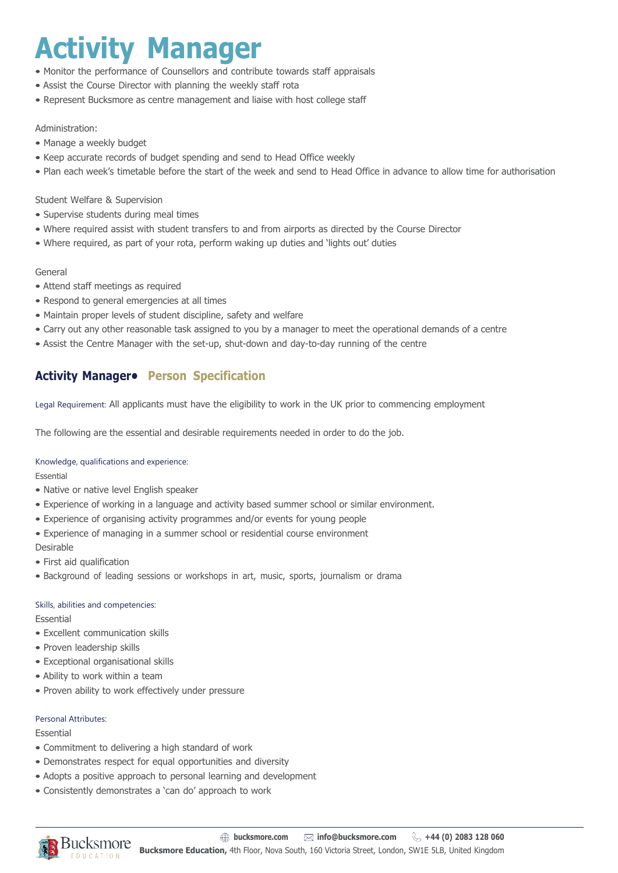# **Activity Manager**

- Monitor the performance of Counsellors and contribute towards staff appraisals
- Assist the Course Director with planning the weekly staff rota
- Represent Bucksmore as centre management and liaise with host college staff

#### Administration:

- Manage a weekly budget
- Keep accurate records of budget spending and send to Head Office weekly
- Plan each week's timetable before the start of the week and send to Head Office in advance to allow time for authorisation

#### Student Welfare & Supervision

- Supervise students during meal times
- Where required assist with student transfers to and from airports as directed by the Course Director
- Where required, as part of your rota, perform waking up duties and 'lights out' duties

#### General

- Attend staff meetings as required
- Respond to general emergencies at all times
- Maintain proper levels of student discipline, safety and welfare
- Carry out any other reasonable task assigned to you by a manager to meet the operational demands of a centre
- Assist the Centre Manager with the set-up, shut-down and day-to-day running of the centre

## **Activity Manager• Person Specification**

Legal Requirement: All applicants must have the eligibility to work in the UK prior to commencing employment

The following are the essential and desirable requirements needed in order to do the job.

#### Knowledge, qualifications and experience:

Essential

- Native or native level English speaker
- Experience of working in a language and activity based summer school or similar environment.
- Experience of organising activity programmes and/or events for young people
- Experience of managing in a summer school or residential course environment

#### Desirable

- First aid qualification
- Background of leading sessions or workshops in art, music, sports, journalism or drama

### Skills, abilities and competencies:

Essential

- Excellent communication skills
- Proven leadership skills
- Exceptional organisational skills
- Ability to work within a team
- Proven ability to work effectively under pressure

#### Personal Attributes:

#### Essential

- Commitment to delivering a high standard of work
- Demonstrates respect for equal opportunities and diversity
- Adopts a positive approach to personal learning and development
- Consistently demonstrates a 'can do' approach to work